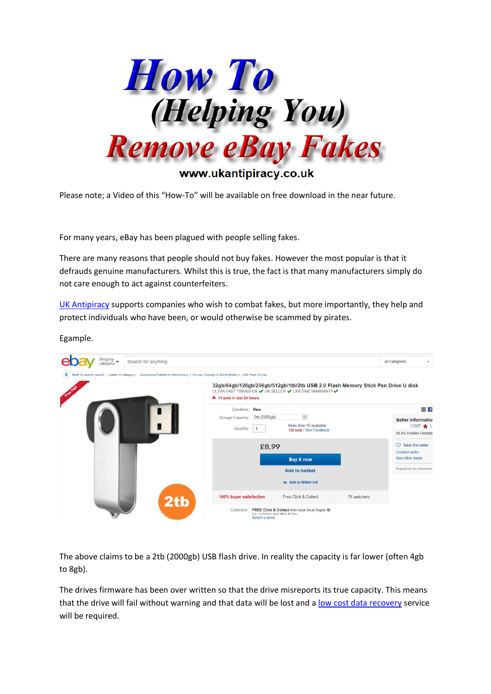

Please note; a Video of this "How-To" will be available on free download in the near future.

For many years, eBay has been plagued with people selling fakes.

There are many reasons that people should not buy fakes. However the most popular is that it defrauds genuine manufacturers. Whilst this is true, the fact is that many manufacturers simply do not care enough to act against counterfeiters.

[UK Antipiracy](https://www.ukantipiracy.co.uk/) supports companies who wish to combat fakes, but more importantly, they help and protect individuals who have been, or would otherwise be scammed by pirates.



The above claims to be a 2tb (2000gb) USB flash drive. In reality the capacity is far lower (often 4gb to 8gb).

The drives firmware has been over written so that the drive misreports its true capacity. This means that the drive will fail without warning and that data will be lost and a [low cost data recovery](https://www.genner.co.uk/datarecovery.html) service will be required.